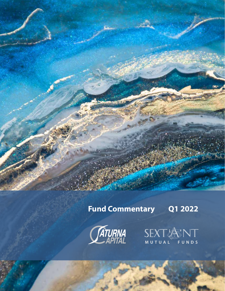# **Fund Commentary Q1 2022**

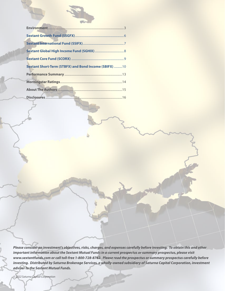| Sextant Short-Term (STBFX) and Bond Income (SBIFX) 10 |
|-------------------------------------------------------|
|                                                       |
|                                                       |
|                                                       |
|                                                       |

*Please consider an investment's objectives, risks, charges, and expenses carefully before investing. To obtain this and other important information about the Sextant Mutual Funds in a current prospectus or summary prospectus, please visit www.sextantfunds.com or call toll-free 1-800-728-8762. Please read the prospectus or summary prospectus carefully before investing. Distributed by Saturna Brokerage Services, a wholly-owned subsidiary of Saturna Capital Corporation, investment adviser to the Sextant Mutual Funds.*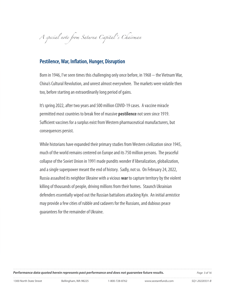*A special note from Saturna Capital 's Chairman*

# **Pestilence, War, Inflation, Hunger, Disruption**

Born in 1946, I've seen times this challenging only once before, in 1968 – the Vietnam War, China's Cultural Revolution, and unrest almost everywhere. The markets were volatile then too, before starting an extraordinarily long period of gains.

It's spring 2022, after two years and 500 million COVID-19 cases. A vaccine miracle permitted most countries to break free of massive **pestilence** not seen since 1919. Sufficient vaccines for a surplus exist from Western pharmaceutical manufacturers, but consequences persist.

While historians have expanded their primary studies from Western civilization since 1945, much of the world remains centered on Europe and its 750 million persons. The peaceful collapse of the Soviet Union in 1991 made pundits wonder if liberalization, globalization, and a single superpower meant the end of history. Sadly, not so. On February 24, 2022, Russia assaulted its neighbor Ukraine with a vicious **war** to capture territory by the violent killing of thousands of people, driving millions from their homes. Staunch Ukrainian defenders essentially wiped out the Russian battalions attacking Kyiv. An initial armistice may provide a few cities of rubble and cadavers for the Russians, and dubious peace guarantees for the remainder of Ukraine.

*Performance data quoted herein represents past performance and does not guarantee future results. Page 3 of 16*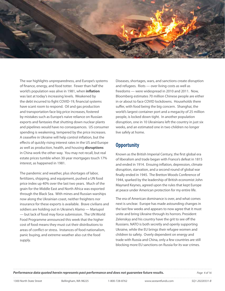

The war highlights unpreparedness, and Europe's systems of finance, energy, and food totter. Fewer than half the world's population was alive in 1981, when **inflation** was last at today's increasing levels. Weakened by the debt incurred to fight COVID-19, financial systems have scant room to respond. Oil and gas production and transportation face big price increases, fostered by mistakes such as Europe's naive reliance on Russian exports and fantasies that shutting down nuclear plants and pipelines would have no consequences. US consumer spending is weakening, tempered by the price increases. A ceasefire in Ukraine will help control inflation, but the effects of quickly rising interest rates in the US and Europe as well as production, health, and housing **disruptions** in China work the other way. You may not recall, but real estate prices tumble when 30-year mortgages touch 17% interest, as happened in 1981.

The pandemic and weather, plus shortages of labor, fertilizers, shipping, and equipment, pushed a UN food price index up 40% over the last two years. Much of the grain for the Middle East and North Africa was exported through the Black Sea. With mines and Russian warships now along the Ukrainian coast, neither freighters nor insurance for these exports is available. Brave civilians and soldiers are holding out in Ukraine's Alamo — Mariupol — but lack of food may force submission. The UN World Food Programme announced this week that the higher cost of food means they must cut their distributions to areas of conflict or stress. Instances of food nationalism, panic buying, and extreme weather also cut the food supply.

Diseases, shortages, wars, and sanctions create disruption and refugees. Riots — over living costs as well as freedoms — were widespread in 2010 and 2011. Now, Bloomberg estimates 70 million Chinese people are either in or about to face COVID lockdowns. Households there suffer, with food being the big concern. Shanghai, the world's largest container port and a megacity of 25 million people, is locked down tight. In another population disruption, one in 10 Ukrainians left the country in just six weeks, and an estimated one in two children no longer live safely at home.

## **Opportunity**

Known as the British Imperial Century, the first global era of liberalism and trade began with France's defeat in 1815 and ended in 1914. Ensuing inflation, depression, climate disruption, starvation, and a second round of global war finally ended in 1945. The Bretton Woods Conference of 1944, sparked by the leadership of British economist John Maynard Keynes, agreed upon the rules that kept Europe at peace under American protection for my entire life.

The era of American dominance is over, and what comes next is unclear. Europe has made astounding changes in the last few weeks and appears to now agree that it must unite and bring Ukraine through its horrors. President Zelenskyy and his country have the grit to see off the Russians. NATO is both secretly and openly supporting Ukraine, while the EU brings their refugee women and children to safety. Overly dependent on energy and trade with Russia and China, only a few countries are still blocking more EU sanctions on Russia for its war crimes.

*Performance data quoted herein represents past performance and does not guarantee future results. Page 4 of 16*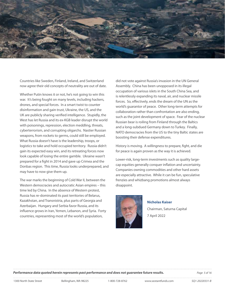

Countries like Sweden, Finland, Ireland, and Switzerland now agree their old concepts of neutrality are out of date.

Whether Putin knows it or not, he's not going to win this war. It's being fought on many levels, including hackers, drones, and special forces. In a smart twist to counter disinformation and gain trust, Ukraine, the US, and the UK are publicly sharing verified intelligence. Stupidly, the West has let Russia and its ex-KGB leader disrupt the world with poisonings, repression, election meddling, threats, cyberterrorism, and corrupting oligarchs. Nastier Russian weapons, from rockets to germs, could still be employed. What Russia doesn't have is the leadership, troops, or logistics to take and hold occupied territory. Russia didn't gain its expected easy win, and its retreating forces now look capable of losing the entire gamble. Ukraine wasn't prepared for a fight in 2014 and gave up Crimea and the Donbas region. This time, Russia looks underprepared, and may have to now give them up.

The war marks the beginning of Cold War II, between the Western democracies and autocratic Asian empires – this time led by China. In the absence of Western protest, Russia has re-dominated its past territories of Belarus, Kazakhstan, and Transnistria, plus parts of Georgia and Azerbaijan. Hungary and Serbia favor Russia, and its influence grows in Iran, Yemen, Lebanon, and Syria. Forty countries, representing most of the world's population,

did not vote against Russia's invasion in the UN General Assembly. China has been unopposed in its illegal occupation of various islets in the South China Sea, and is relentlessly expanding its naval, air, and nuclear missile forces. So, effectively, ends the dream of the UN as the world's guarantor of peace. Other long-term attempts for collaboration rather than confrontation are also ending, such as the joint development of space. Fear of the nuclear Russian bear is roiling from Finland through the Baltics and a long-subdued Germany down to Turkey. Finally, NATO democracies from the US to the tiny Baltic states are boosting their defense expenditures.

History is moving. A willingness to prepare, fight, and die for peace is again proven as the way it is achieved.

Lower-risk, long-term investments such as quality largecap equities generally conquer inflation and uncertainty. Companies owning commodities and other hard assets are especially attractive. While it can be fun, speculative frenzies and whizbang promotions almost always disappoint.



**Nicholas Kaiser** Chairman, Saturna Capital 7 April 2022

*Performance data quoted herein represents past performance and does not guarantee future results. Page 5 of 16*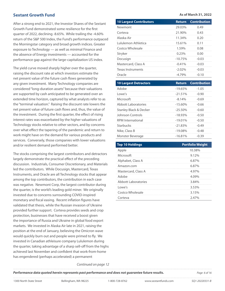#### **Sextant Growth Fund**

After a strong end to 2021, the Investor Shares of the Sextant Growth Fund demonstrated some resilience for the first quarter of 2022, declining -8.65%. While trailing the -4.60% return of the S&P 500 Index, the Fund's performance outpaced the Morningstar category and broad growth indices. Greater exposure to Technology — as well as minimal Finance and the absence of Energy investments — accounted for the performance gap against the large-capitalization US index.

The yield curve moved sharply higher over the quarter, raising the discount rate at which investors estimate the net present value of the future cash flows generated by any given investment. Many Technology companies are considered "long-duration assets" because their valuations are supported by cash anticipated to be generated over an extended time horizon, captured by what analysts refer to as the "terminal valuation." Raising the discount rate lowers the net present value of future cash flows and, thus, the value of the investment. During the first quarter, the effect of rising interest rates was exacerbated by the higher valuations of Technology stocks relative to other sectors, and by concerns over what effect the tapering of the pandemic and return to work might have on the demand for various products and services. Conversely, those companies with lower valuations and/or resilient demand performed better.

The stocks comprising the largest contributors and detractors largely demonstrate the practical effect of the preceding discussion. Industrials, Consumer Discretionary, and Materials led the contributors. While Docusign, Mastercard, Texas Instruments, and Oracle are all Technology stocks that appear among the top contributors, the contribution in each case was negative. Newmont Corp, the largest contributor during the quarter, is the world's leading gold miner. We originally invested due to concerns surrounding COVID-inspired monetary and fiscal easing. Recent inflation figures have validated that thesis, while the Russian invasion of Ukraine provided further support. Corteva provides seeds and crop protection, businesses that have received a boost given the importance of Russia and Ukraine in global food export markets. We invested in Alaska Air late in 2021, raising the position at the end of January, believing the Omicron wave would quickly burn out and people were primed to fly. We invested in Canadian athleisure company Lululemon during the quarter, taking advantage of a sharp sell-off from the highs achieved last November and confident that work-from-home has engendered (perhaps accelerated) a permanent

#### **As of March 31, 2022**

| <b>10 Largest Contributors</b>    | <b>Return</b>         | <b>Contribution</b> |
|-----------------------------------|-----------------------|---------------------|
| Newmont                           | 29.03%                | 0.49                |
| Corteva                           | 21.90%                | 0.43                |
| Alaska Air                        | 11.34%                | 0.20                |
| Lululemon Athletica               | 15.61%                | 0.11                |
| Costco Wholesale                  | 1.59%                 | 0.08                |
| Stryker                           | 0.23%                 | 0.00                |
| Docusign                          | $-10.75%$             | $-0.03$             |
| Mastercard, Class A               | $-0.41%$              | $-0.03$             |
| <b>Texas Instruments</b>          | $-2.02%$              | $-0.03$             |
| Oracle                            | $-4.79%$              | $-0.10$             |
|                                   |                       |                     |
|                                   |                       |                     |
| <b>10 Largest Detractors</b>      | <b>Return</b>         | <b>Contribution</b> |
| Adobe                             | $-19.65%$             | $-1.05$             |
| Lowe's                            | $-21.51%$             | $-0.90$             |
| Microsoft<br>Abbott Laboratories  | $-8.14%$<br>$-15.60%$ | $-0.69$<br>$-0.66$  |
| <b>Stanley Black &amp; Decker</b> | $-25.50%$             | $-0.60$             |
| Johnson Controls                  | $-18.93%$             | $-0.50$             |
| <b>RPM</b> International          | $-19.01%$             | $-0.50$             |
| Starbucks                         | $-21.83%$             | $-0.49$             |
| Nike, Class B                     | $-19.08%$             | $-0.48$             |

| <b>Top 10 Holdings</b> | <b>Portfolio Weight</b> |
|------------------------|-------------------------|
| Apple                  | 10.38%                  |
| Microsoft              | 9.12%                   |
| Alphabet, Class A      | 6.87%                   |
| Amazon.com             | 6.87%                   |
| Mastercard, Class A    | 4.97%                   |
| Adobe                  | $4.09\%$                |
| Abbott Laboratories    | 3.84%                   |
| I owe's                | 3.53%                   |
| Costco Wholesale       | 3.15%                   |
| Corteva                | 2.47%                   |

*Continued on page 12*

*Performance data quoted herein represents past performance and does not guarantee future results. Page 6 of 16*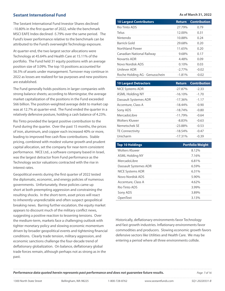#### **Sextant International Fund**

The Sextant International Fund Investor Shares declined -10.80% in the first quarter of 2022, while the benchmark MSCI EAFE Index declined -5.79% over the same period. The Fund's lower performance relative to the benchmark can be attributed to the Fund's overweight Technology exposure.

At quarter-end, the two largest sector allocations were Technology at 45.64% and Health Care at 15.11% of the portfolio. The Fund held 31 equity positions with an average position size of 3.09%. The top 10 positions accounted for 56.5% of assets under management. Turnover may continue in 2022 as losses are realized for tax purposes and new positions are established.

The Fund generally holds positions in larger companies with strong balance sheets; according to Morningstar, the average market capitalization of the positions in the Fund exceeded \$66 billion. The position-weighted average debt to market cap was at 12.7% at quarter-end. The Fund ended the quarter in a relatively defensive posture, holding a cash balance of 4.23%.

Rio Tinto provided the largest positive contribution to the Fund during the quarter. Over the past 15 months, the prices of iron, aluminum, and copper each increased 40% or more, leading to improved free cash flow contributions. Stable pricing, combined with modest volume growth and prudent capital allocation, set the company for near-term consistent performance. NICE Ltd., a software company based in Israel, was the largest detractor from Fund performance as the Technology sector valuations contracted with the rise in interest rates.

Geopolitical events during the first quarter of 2022 tested the diplomatic, economic, and energy policies of numerous governments. Unfortunately, these policies came up short at both preempting aggression and constraining the resulting shocks. In the short-term, asset prices will react to inherently unpredictable and often suspect geopolitical breaking news. Barring further escalation, the equity market appears to discount much of the military conflict news, suggesting a positive reaction to lessening tensions. Over the medium-term, markets face a challenging outlook with tighter monetary policy and slowing economic momentum driven by broader geopolitical events and tightening financial conditions. Clearly trade tension, military aggression, and economic sanctions challenge the four-decade trend of deflationary globalization. On balance, deflationary global trade forces remain, although perhaps not as strong as in the past.

#### **As of March 31, 2022**

| <b>10 Largest Contributors</b> | <b>Return</b> | <b>Contribution</b> |
|--------------------------------|---------------|---------------------|
| Rio Tinto ADS                  | 27.79%        | 0.79                |
| Telus                          | 12.00%        | 0.31                |
| Nintendo                       | 10.88%        | 0.24                |
| Barrick Gold                   | 29.68%        | 0.20                |
| Northland Power                | 11.65%        | 0.20                |
| Canadian National Railway      | 9.68%         | 0.17                |
| Novartis ADR                   | 4.48%         | 0.09                |
| Novo Nordisk ADS               | 0.10%         | 0.03                |
| Unilever ADR                   | $-2.77%$      | $-0.02$             |
| Roche Holding AG - Genusschein | $-1.81%$      | $-0.02$             |

| <b>10 Largest Detractors</b> | <b>Return</b> | <b>Contribution</b> |
|------------------------------|---------------|---------------------|
| <b>NICE Systems ADR</b>      | $-27.87%$     | $-2.33$             |
| <b>ASML Holding NY</b>       | $-16.10\%$    | $-1.70$             |
| Dassault Systemes ADR        | $-17.36%$     | $-1.17$             |
| Accenture, Class A           | $-18.44%$     | $-0.90$             |
| Sony ADS                     | $-18.74%$     | $-0.80$             |
| Mercadol ibre                | $-11.79%$     | $-0.64$             |
| <b>Wolters Kluwer</b>        | $-8.83%$      | $-0.63$             |
| Nemetschek SF                | $-23.88%$     | $-0.53$             |
| <b>TE Connectivity</b>       | $-18.54%$     | $-0.47$             |
| Unicharm                     | $-17.31%$     | $-0.39$             |

| <b>Top 10 Holdings</b>  | <b>Portfolio Weight</b>            |
|-------------------------|------------------------------------|
| Wolters Kluwer          | 8.12%                              |
| ASML Holding NY         | 7.16%                              |
| MercadoLibre            | 6.81%                              |
| Dassault Systemes ADR   | 6.59%                              |
| <b>NICE Systems ADR</b> | 6.31%                              |
| Novo Nordisk ADS        | 5.90%                              |
| Accenture, Class A      | 4.62%                              |
| Rio Tinto ADS           | 3.99%<br>------------------------- |
| Sony ADS                | 3.89%                              |
| OpenText                | 3.13%                              |

Historically, deflationary environments favor Technology and fast growth industries. Inflationary environments favor commodities and producers. Slowing economic growth favors defensive sectors like Utilities and Health Care. We may be entering a period where all three environments collide.

*Performance data quoted herein represents past performance and does not guarantee future results. Page 7 of 16*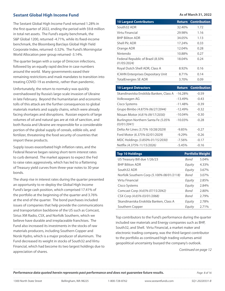### **Sextant Global High Income Fund**

The Sextant Global High Income Fund returned 1.28% in the first quarter of 2022, ending the period with \$9.8 million in total net assets. The Fund's equity benchmark, the S&P Global 1200, returned -4.71%, while its fixed-income benchmark, the Bloomberg Barclays Global High Yield Corporate Index, returned -5.52%. The Fund's Morningstar World Allocation peer group returned -3.14%.

The quarter began with a surge of Omicron infections, followed by an equally rapid decline in case numbers around the world. Many governments eased their remaining restrictions and mask mandates to transition into treating COVID-19 as endemic, rather than pandemic.

Unfortunately, the return to normalcy was quickly overshadowed by Russia's large-scale invasion of Ukraine in late February. Beyond the humanitarian and economic tolls of this attack are the further consequences to global materials markets and supply chains, which were already facing shortages and disruptions. Russian exports of large volumes of oil and natural gas are at risk of sanction, and both Russia and Ukraine are responsible for a considerable portion of the global supply of cereals, edible oils, and fertilizer, threatening the food security of countries that import these products.

Supply issues exacerbated high inflation rates, and the Federal Reserve began raising short-term interest rates to curb demand. The market appears to expect the Fed to raise rates aggressively, which has led to a flattening of Treasury yield curves from three-year notes to 30-year bonds.

The sharp rise in interest rates during the quarter presented an opportunity to re-deploy the Global High Income Fund's large cash position, which comprised 17.41% of the portfolio at the beginning of the quarter and 3.76% at the end of the quarter. The bond purchases included issues of companies that help provide the communications and transportation backbone of the US such as Comcast, Sirius XM Radio, CSX, and Norfolk Southern, which we believe have durable and irreplaceable franchises. The Fund also increased its investments in the stocks of raw materials producers, including Southern Copper and Norsk Hydro, which is a major producer of aluminum. The Fund decreased its weight in stocks of South32 and Virtu Financial, which had become its two largest holdings due to appreciation of shares.

**As of March 31, 2022**

| <b>10 Largest Contributors</b>                   |                    | <b>Return Contribution</b> |
|--------------------------------------------------|--------------------|----------------------------|
| South32 ADR                                      | 32.40 <sup>%</sup> | 1.72                       |
| Virtu Financial                                  | 29.98%             | 1.16                       |
| <b>BHP Biliton ADR</b>                           | 34.05%             | 1.13                       |
| Shell Plc ADR                                    | 17.24%             | 0.33                       |
| Orange ADR                                       | 12.04%             | 0.28                       |
| Nintendo                                         | 10.88%             | 0.27                       |
| Federal Republic of Brazil (8.50%<br>01/05/2024) | 18.04%             | 0.24                       |
| Royal Dutch Shell ADR, Class A                   | 8.92%              | 0.16                       |
| <b>ICAHN Enterprises Depositary Unit</b>         | 8.71%              | 0.14                       |
| <b>TotalEnergies SE ADR</b>                      | 3.70%              | 0.09                       |

| <b>10 Largest Detractors</b>                       |            | <b>Return Contribution</b> |
|----------------------------------------------------|------------|----------------------------|
| Skandinaviska Enskilda Banken, Class A             | $-16.28%$  | $-0.59$                    |
| Volkswagen AG                                      | $-13.49%$  | $-0.43$                    |
| Cisco Systems                                      | $-11.48%$  | $-0.39$                    |
| Grupo Bimbo (4.875% 06/27/2044)                    | $-12.49%$  | $-0.32$                    |
| Nissan Motor (4.81% 09/17/2030)                    | $-10.04\%$ | $-0.30$                    |
| Burlington Northern Santa Fe (5.05%<br>03/01/2041) | $-10.03%$  | $-0.28$                    |
| Delta Air Lines (3.75% 10/28/2029)                 | $-9.85\%$  | $-0.27$                    |
| Ford Motor (6.375% 02/01/2029)                     | $-9.29%$   | $-0.26$                    |
| MDC Holdings (3.850% 01/15/2030)                   | $-7.56%$   | $-0.17$                    |
| Netflix (4.375% 11/15/2026)                        | $-5.45%$   | $-0.16$                    |

| <b>Top 10 Holdings</b>                    |        | <b>Portfolio Weight</b> |
|-------------------------------------------|--------|-------------------------|
| US Treasury Bill due 1/26/23              | Bond   | $5.04\%$                |
| <b>BHP Biliton ADR</b>                    | Equity | 4.33%                   |
| South 32 ADR                              | Equity | 3.67%                   |
| Norfolk Southern Corp (5.100% 08/01/2118) | Rond   | 3.07%                   |
| Virtu Financial                           | Equity | 2.85%                   |
| Cisco Systems                             | Equity | 2.84%                   |
| Comcast Corp (4.65% 07/15/2042)           | Rond   | 2.80%                   |
| CSX Corp (4.65% 03/01/2068)               | Rond   | 279%                    |
| Skandinaviska Enskilda Banken, Class A    | Equity | 2.78%                   |
| Southern Copper                           | Equity | 2.71%                   |

Top contributors to the Fund's performance during the quarter included raw materials and Energy companies such as BHP, South32, and Shell. Virtu Financial, a market maker and electronic trading company, was the third-largest contributor to the portfolio as continued high trading volumes amid geopolitical uncertainty buoyed the company's outlook.

*Continued on page 12*

**Performance data quoted herein represents past performance and does not guarantee future results. Page 8 0f 16** Page 8 of 16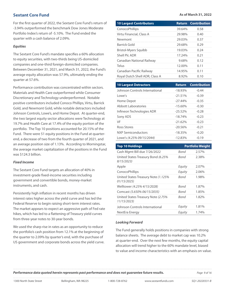### **Sextant Core Fund**

For the first quarter of 2022, the Sextant Core Fund's return of -3.94% outperformed the benchmark Dow Jones Moderate Portfolio Index's return of -5.10%. The Fund ended the quarter with a cash balance of 2.09%.

#### *Equities*

The Sextant Core Fund's mandate specifies a 60% allocation to equity securities, with two-thirds being US-domiciled companies and one-third foreign-domiciled companies. Between December 31, 2021, and March 31, 2022, the Fund's average equity allocation was 57.9%, ultimately ending the quarter at 57.6%.

Performance contribution was concentrated within sectors. Materials and Health Care outperformed while Consumer Discretionary and Technology underperformed. Notable positive contributors included Conoco Phillips, Virtu, Barrick Gold, and Newmont Gold, while notable detractors included Johnson Controls, Lowe's, and Home Depot. At quarter-end, the two largest equity sector allocations were Technology at 19.7% and Health Care at 17.4% of the equity portion of the portfolio. The Top 10 positions accounted for 20.15% of the Fund. There were 51 equity positions in the Fund at quarterend, a decrease of two from the fourth quarter of 2021, and an average position size of 1.13%. According to Morningstar, the average market capitalization of the positions in the Fund was \$124.3 billion.

#### *Fixed Income*

The Sextant Core Fund targets an allocation of 40% in investment-grade fixed-income securities including government and convertible bonds, money-market instruments, and cash.

Persistently high inflation in recent months has driven interest rates higher across the yield curve and has led the Federal Reserve to begin raising short-term interest rates. The market appears to expect an aggressive path of Fed rate hikes, which has led to a flattening of Treasury yield curves from three-year notes to 30-year bonds.

We used the sharp rise in rates as an opportunity to reduce the portfolio's cash position from 12.1% at the beginning of the quarter to 2.09% by quarter's end, with the purchase of US government and corporate bonds across the yield curve.

#### **As of March 31, 2022**

| <b>10 Largest Contributors</b> |        | <b>Return Contribution</b> |
|--------------------------------|--------|----------------------------|
| ConocoPhillips                 | 39.64% | 0.58                       |
| Virtu Financial, Class A       | 29.98% | 0.40                       |
| Newmont                        | 29.03% | በ 37                       |
| Barrick Gold                   | 29.68% | 0.29                       |
| Bristol-Myers Squibb           | 19.03% | 0.24                       |
| Shell Plc ADR                  | 17.24% | 0.21                       |
| Canadian National Railway      | 9.68%  | 0.12                       |
| Telus                          | 12.00% | 0 1 1                      |
| Canadian Pacific Railway       | 14.95% | 0 1 1                      |
| Royal Dutch Shell ADR, Class A | 8.92%  | 0.10                       |
| 10 Largest Detractors          | Raturn | Contribution               |

| <b>10 Largest Detractors</b>   |            | <b>Return Contribution</b> |
|--------------------------------|------------|----------------------------|
| Johnson Controls International | $-18.93\%$ | -0.44                      |
| l owe's                        | $-21.51%$  | -0.39                      |
| Home Depot                     | $-27.44\%$ | -0.35                      |
| Abbott Laboratories            | $-15.60%$  | $-0.30$                    |
| Infineon Technologies ADR      | $-2552%$   | -0.28                      |
| Sony ADS                       | $-18.74%$  | -0.23                      |
| VF                             | $-21.62%$  | -0.23                      |
| Ross Stores                    | $-20.56\%$ | -0.21                      |
| NXP Semiconductors             | $-18.35\%$ | -0.20                      |
| Lowe's (4.25% 09/15/2044)      | $-12.83\%$ | $-0.19$                    |

| <b>Top 10 Holdings</b>                              |        | <b>Portfolio Weight</b> |
|-----------------------------------------------------|--------|-------------------------|
| Cash Mgmt Bill due 7/26/2022                        | Bond   | 2.57%                   |
| United States Treasury Bond (6.25%<br>8/15/2023     | Bond   | 2.38%                   |
| Apple                                               | Equity | $2.07\%$                |
| ConocoPhillips                                      | Equity | 2.06%                   |
| United States Treasury Note (1.125%)<br>01/15/2025) | Bond   | 1.98%                   |
| Welltower (4.25% 4/15/2028)                         | Bond   | 1.87%                   |
| Comcast (5.650% 06/15/2035)                         | Bond   | 1.85%                   |
| United States Treasury Note (2.75%)<br>11/15/2023)  | Bond   | 1.82%                   |
| Johnson Controls International                      | Equity | 1.81%                   |
| NextEra Energy                                      | Equity | 1.74%                   |

#### *Looking Forward*

The Fund generally holds positions in companies with strong balance sheets. The average debt to market cap was 10.2% at quarter-end. Over the next few months, the equity capital allocation will trend higher to the 60% mandate level, biased to value and income characteristics with an emphasis on value.

*Performance data quoted herein represents past performance and does not guarantee future results. Page 9 of 16*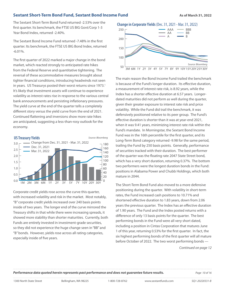#### **Sextant Short-Term Bond Fund, Sextant Bond Income Fund The Construction As of March 31, 2022**

The Sextant Short-Term Bond Fund returned -2.53% over the first quarter. Its benchmark, the FTSE US BIG Govt/Corp 1-3 Year Bond Index, returned -2.40%.

The Sextant Bond Income Fund returned -7.48% in the first quarter. Its benchmark, the FTSE US BIG Bond Index, returned -6.01%.

The first quarter of 2022 marked a major change in the bond market, which reacted strongly to anticipated rate hikes from the Federal Reserve and quantitative tightening. The reversal of these accommodative measures brought about tighter financial conditions, introducing headwinds not seen in years. US Treasurys posted their worst returns since 1973.<sup>1</sup> It's likely that investment assets will continue to experience volatility as interest rates rise in response to the various central bank announcements and persisting inflationary pressures. The yield curve at the end of the quarter tells a completely different story versus the yield curve from the end of 2021. Continued flattening and inversions show more rate hikes are anticipated, suggesting a less-than-rosy outlook for the economy.



Corporate credit yields rose across the curve this quarter, with increased volatility and risk in the market. Most notably, "B" corporate credit yields increased over 240 basis points inside of two years. The longer end of the curve mirrored the Treasury shifts in that while there were increasing spreads, it showed more stability than shorter maturities. Currently, both Funds are entirely invested in investment-grade securities, so they did not experience the huge change seen in "BB" and "B" bonds. However, yields rose across all rating categories, especially inside of five years.





The main reason the Bond Income Fund trailed the benchmark is because of the Fund's longer duration. Its effective duration, a measurement of interest rate risk, is 8.92 years, while the Index has a shorter effective duration at 6.57 years. Longerdated maturities did not perform as well during the quarter, given their greater exposure to interest rate risk and price volatility. While the Fund did trail the benchmark, it was defensively positioned relative to its peer group. The Fund's effective duration is shorter than it was at year-end 2021, when it was 9.41 years, minimizing interest rate risk within the Fund's mandate. In Morningstar, the Sextant Bond Income Fund was in the 16th percentile for the first quarter, and its Long-Term Bond category returned -9.98 for the same period, trailing the Fund by 250 basis points. Generally, performance of securities tracked with their duration. The best performer of the quarter was the floating rate 2047 State Street bond, which has a very short duration, returning 0.37%. The bottom two performers were the longest duration bonds in the Fund: positions in Alabama Power and Chubb Holdings, which both mature in 2044.

The Short-Term Bond Fund also moved to a more defensive positioning during the quarter. With volatility in short-term rates, the Fund increased cash positions to 10.71% and shortened effective duration to 1.83 years, down from 2.06 years the previous quarter. The Index has an effective duration of 1.90 years. The Fund and the Index posted returns with a difference of only 13 basis points for the quarter. The best performing bonds in the Fund were all very short dated, including a position in Cintas Corporation that matures June 1 of this year, returning 0.53% for the first quarter. In fact, the six highest performing bonds of the first quarter will all mature before October of 2022. The two worst performing bonds —

*Continued on page 12*

*Performance data quoted herein represents past performance and does not guarantee future results. Page 10 of 16*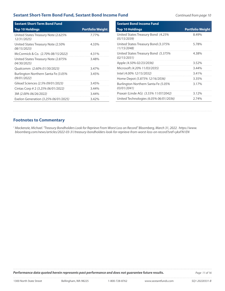### **Sextant Short-Term Bond Fund, Sextant Bond Income Fund** *Continued from page 10*

| <b>Sextant Short-Term Bond Fund</b>                       |                         | <b>Sextant Bond Income Fund</b>                    |                         |  |  |  |
|-----------------------------------------------------------|-------------------------|----------------------------------------------------|-------------------------|--|--|--|
| <b>Top 10 Holdings</b>                                    | <b>Portfolio Weight</b> | Top 10 Holdings                                    | <b>Portfolio Weight</b> |  |  |  |
| United States Treasury Note (2.625%<br>12/31/2025)        | 7.77%                   | United States Treasury Bond (4.25%<br>05/15/2039)  | 8.49%                   |  |  |  |
| United States Treasury Note (2.50%<br><i>08/15/2023)</i>  | 4.33%                   | United States Treasury Bond (3.375%<br>11/15/2048) | 5.78%                   |  |  |  |
| McCormick & Co. (2.70% 08/15/2022)                        | 4.31%                   | United States Treasury Bond (5.375%                | 4.38%                   |  |  |  |
| United States Treasury Note (2.875%<br><i>04/30/2025)</i> | 3.48%                   | 02/15/2031)                                        |                         |  |  |  |
|                                                           |                         | Apple (4.50% 02/23/2036)                           | 3.52%                   |  |  |  |
| Qualcomm (2.60% 01/30/2023)                               | 3.47%                   | Microsoft (4.20% 11/03/2035)                       | 3.44%                   |  |  |  |
| Burlington Northern Santa Fe (3.05%<br><i>09/01/2022)</i> | 3.45%                   | Intel (4.00% 12/15/2032)                           | 3.41%                   |  |  |  |
|                                                           |                         | Home Depot (5.875% 12/16/2036)                     | 3.35%                   |  |  |  |
| Gilead Sciences (2.5% 09/01/2023)                         | 3.45%                   | Burlington Northern Santa Fe (5.05%                | 3.17%                   |  |  |  |
| Cintas Corp # 2 (3.25% 06/01/2022)                        | 3.44%                   | 03/01/2041)                                        |                         |  |  |  |
| 3M (2.00% 06/26/2022)                                     | 3.44%                   | Praxair (Linde AG) (3.55% 11/07/2042)              | 3.12%                   |  |  |  |
| Exelon Generation (3.25% 06/01/2025)                      | 3.42%                   | United Technologies (6.05% 06/01/2036)             | 2.74%                   |  |  |  |

### **Footnotes to Commentary**

*1 Mackenzie, Michael. "Treasury Bondholders Look for Reprieve From Worst Loss on Record." Bloomberg, March 31, 2022. https://www. bloomberg.com/news/articles/2022-03-31/treasury-bondholders-look-for-reprieve-from-worst-loss-on-record?sref=ykxFN1EN*

**Performance data quoted herein represents past performance and does not guarantee future results.** Page 11 of 16

. . . .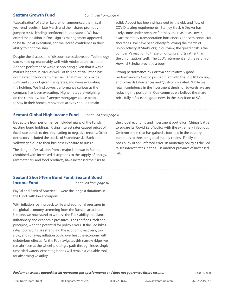#### **Sextant Growth Fund** *Continued from page 6*

"casualization" of attire. Lululemon announced their fiscal year-end results in late March and their shares promptly jumped 9.6%, lending confidence to our stance. We have exited the position in Docusign as management appeared to be failing at execution, and we lacked confidence in their ability to right the ship.

Despite the discussion of discount rates above, our Technology stocks held up reasonably well, with Adobe as an exception. Adobe's performance was disappointing given that it was a market laggard in 2021 as well. At this point, valuation has normalized to long-term medians. That may not provide sufficient support given rising rates, and we're evaluating the holding. We find Lowe's performance curious as the company has been executing. Higher rates are weighing on the company, but if steeper mortgages cause people to stay in their homes, renovation activity should remain

solid. Abbott has been whipsawed by the ebb and flow of COVID testing requirements. Stanley Black & Decker has likely come under pressure for the same reason as Lowe's, exacerbated by transportation bottlenecks and semiconductor shortages. We have been closely following the march of union activity at Starbucks; in our view, the greater risk is the company's reaction to these unionizing efforts rather than the unionization itself. The CEO's retirement and the return of Howard Schultz provided a boost.

Strong performance by Corteva and relatively good performance by Costco pushed them into the Top 10 Holdings, and Edwards Lifesciences and Qualcomm exited. While we retain confidence in the investment thesis for Edwards, we are reducing the position in Qualcomm as we believe the share price fully reflects the good news in the transition to 5G.

#### **Sextant Global High Income Fund** *Continued from page 8*

Detractors from performance included many of the Fund's existing bond holdings. Rising interest rates caused prices of fixed-rate bonds to decline, leading to negative returns. Other detractors included the stocks of Skandinaviska Bank and Volkswagen due to their business exposure to Russia.

The danger of escalation from a major land war in Europe, combined with increased disruptions to the supply of energy, raw materials, and food products, have increased the risks to

the global economy and investment portfolios. China's battle to square its "Covid Zero" policy with the extremely infectious Omicron strain that has gained a foothold in the country continues to threaten global supply chains. Finally, the possibility of an "unforced error" in monetary policy as the Fed raises interest rates in the US is another province of increased risk.

### **Sextant Short-Term Bond Fund, Sextant Bond Income Fund** *Continued from page 10*

PayPal and Bank of America — were the longest durations in the Fund, with lower coupons.

With inflation roaring back to life and additional pressures in the global economy stemming from the Russian attack on Ukraine, we now stand to witness the Fed's ability to balance inflationary and economic pressures. The Fed finds itself at a precipice, with the potential for policy errors. If the Fed hikes rates too fast, it risks strangling the economic recovery; too slow, and runaway inflation could overheat the economy with deleterious effects. As the Fed navigates this narrow ridge, we remain keen at the wheel, plotting a path through increasingly unsettled waters, expecting bonds will remain a valuable tool for absorbing volatility.

*Performance data quoted herein represents past performance and does not guarantee future results. Page 12 of 16*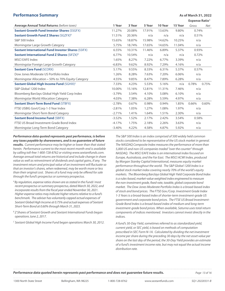#### **Performance Summary Asset As of March 31, 2022**

**Expense Ratio**<sup>A</sup>

|                                                           |          |        |        |         | EXPEIISE NATIO |       |       |
|-----------------------------------------------------------|----------|--------|--------|---------|----------------|-------|-------|
| <b>Average Annual Total Returns (before taxes)</b>        | 1 Year   | 3 Year | 5 Year | 10 Year | 15 Year        | Gross | Net   |
| <b>Sextant Growth Fund Investor Shares (SSGFX)</b>        | 11.27%   | 20.08% | 17.91% | 13.63%  | 9.80%          | 0.74% |       |
| <b>Sextant Growth Fund Z Shares (SGZFX)<sup>8</sup></b>   | 11.51%   | 20.36% | n/a    | n/a     | n/a            | 0.51% |       |
| <b>S&amp;P 500 Index</b>                                  | 15.65%   | 18.87% | 15.98% | 14.62%  | 10.25%         | n/a   |       |
| Morningstar Large Growth Category                         | 5.75%    | 18.74% | 17.65% | 14.65%  | 11.04%         | n/a   |       |
| <b>Sextant International Fund Investor Shares (SSIFX)</b> | 6.55%    | 10.31% | 11.46% | 6.89%   | 5.37%          | 0.93% |       |
| <b>Sextant International Fund Z Shares (SIFZX)B</b>       | 6.77%    | 10.54% | n/a    | n/a     | n/a            | 0.72% |       |
| <b>MSCI EAFE Index</b>                                    | 1.65%    | 8.27%  | 7.22%  | 6.77%   | 3.39%          | n/a   |       |
| Morningstar Foreign Large Growth Category                 | $-6.83%$ | 9.62%  | 8.92%  | 7.29%   | 4.16%          | n/a   |       |
| <b>Sextant Core Fund (SCORX)</b>                          | 5.17%    | 9.55%  | 8.33%  | 6.31%   | 5.37%          | 0.57% |       |
| Dow Jones Moderate US Portfolio Index                     | 1.26%    | 8.28%  | 7.63%  | 7.20%   | 6.06%          | n/a   |       |
| Morningstar Allocation – 50% to 70% Equity Category       | 4.55%    | 9.85%  | 8.47%  | 7.89%   | 6.28%          | n/a   |       |
| Sextant Global High Income Fund (SGHIX) <sup>C</sup>      | 7.33%    | 4.23%  | 5.53%  | 5.16%   | n/a            | 0.78% | 0.75% |
| S&P Global 1200 Index                                     | 10.00%   | 15.16% | 12.81% | 11.31%  | 7.46%          | n/a   |       |
| Bloomberg Barclays Global High Yield Corp Index           | $-3.79%$ | 3.54%  | 4.10%  | 5.08%   | 6.10%          | n/a   |       |
| Morningstar World Allocation Category                     | 4.03%    | 7.38%  | 6.28%  | 5.59%   | 4.97%          | n/a   |       |
| <b>Sextant Short-Term Bond Fund (STBFX)</b>               | $-2.78%$ | 0.67%  | 0.98%  | 0.94%   | 1.85%          | 0.66% | 0.60% |
| FTSE USBIG Govt/Corp 1-3 Year Index                       | $-2.81%$ | 1.05%  | 1.27%  | 1.08%   | 1.97%          | n/a   |       |
| Morningstar Short-Term Bond Category                      | $-2.71%$ | 1.41%  | 1.64%  | 1.51%   | 2.30%          | n/a   |       |
| <b>Sextant Bond Income Fund (SBIFX)</b>                   | $-3.52%$ | 1.52%  | 2.17%  | 2.42%   | 3.54%          | 0.58% |       |
| FTSE US Broad Investment-Grade Bond Index                 | $-4.17%$ | 1.75%  | 2.18%  | 2.26%   | 3.63%          | n/a   |       |
| Morningstar Long-Term Bond Category                       | $-3.40%$ | 4.22%  | 4.58%  | 4.87%   | 5.92%          | n/a   |       |

*Performance data quoted represents past performance, is before any taxes payable by shareowners, and is no guarantee of future results. Current performance may be higher or lower than that stated* 

*herein. Performance current to the most recent month-end is available by calling toll-free 1-800-728-8762 or visiting www.sextantfunds.com. Average annual total returns are historical and include change in share value as well as reinvestment of dividends and capital gains, if any. The investment return and principal value of an investment will fluctuate so that an investor's shares, when redeemed, may be worth more or less than their original cost. Shares of a fund may only be offered for sale through the fund's prospectus or summary prospectus.*

- *A By regulation, expense ratios shown are as stated in the Funds' most recent prospectus or summary prospectus, dated March 30, 2022, and incorporate results from the fiscal year ended November 30, 2021. Higher expense ratios may indicate higher returns relative to a fund's benchmark. The adviser has voluntarily capped actual expenses of Sextant Global High Income at 0.75% and actual expenses of Sextant Short-Term Bond at 0.60% through March 31, 2023.*
- *B* Z Shares of Sextant Growth and Sextant International Funds began *operations June 2, 2017.*
- *C Sextant Global High Income Fund began operations March 30, 2012.*

*The S&P 500 Index is an index comprised of 500 widely held common stocks considered to be representative of the US stock market in general. The NASDAQ Composite Index measures the performance of more than 5,000 US and non-US companies traded "over the counter" through NASDAQ. The MSCI EAFE Index is an international index focused on Europe, Australasia, and the Far East. The MSCI ACWI Index, produced by Morgan Stanley Capital International, measures equity market performance throughout the world. The S&P Global 1200 Index is a global stock market index covering nearly 70% of the world's equity markets. The Bloomberg Barclays Global High Yield Corporate Bond Index is a rules-based, market-value weighted index engineered to measure the non-investment grade, fixed-rate, taxable, global corporate bond market. The Dow Jones Moderate Portfolio Index is a broad-based index of stock and bond prices. The FTSE Gov./Corp. Investment Grade Index 1-3 Years is a broad-based index of shorter-term investment-grade US government and corporate bond prices. The FTSE US Broad Investment-Grade Bond Index is a broad-based index of medium and long-term investment-grade bond prices. When available, Saturna uses total return components of indices mentioned. Investors cannot invest directly in the indices.*

*A fund's 30-Day Yield, sometimes referred to as standardized yield, current yield, or SEC yield, is based on methods of computation prescribed in SEC Form N-1A. Calculated by dividing the net investment income per share during the preceding 30 days by the net asset value per share on the last day of the period, the 30-Day Yield provides an estimate of a fund's investment income rate, but may not equal the actual income distribution rate.*

**Performance data quoted herein represents past performance and does not guarantee future results.** Page 13 of 16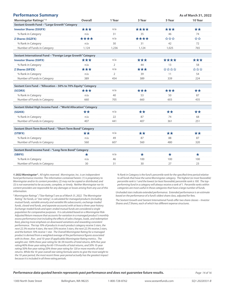| <b>Performance Summary</b>                                    |                |                |         |         | As of March 31, 2022 |
|---------------------------------------------------------------|----------------|----------------|---------|---------|----------------------|
| Morningstar Ratings <sup>™A</sup>                             | <b>Overall</b> | 1 Year         | 3 Year  | 5 Year  | 10 Year              |
| Sextant Growth Fund - "Large Growth" Category                 |                |                |         |         |                      |
| <b>Investor Shares (SSGFX)</b>                                | ***            | n/a            | ****    | ***     | **                   |
| % Rank in Category                                            | n/a            | 31             | 35      | 46      | 74                   |
| <b>Z Shares (SGZFX)</b>                                       | ****           | n/a            | ****    | ***     | ☆☆                   |
| % Rank in Category                                            | n/a            | 30             | 31      | 42      | 72                   |
| Number of Funds in Category                                   | 1.124          | 1,236          | 1,124   | 1,025   | 765                  |
| Sextant International Fund - "Foreign Large Growth" Category  |                |                |         |         |                      |
| <b>Investor Shares (SSIFX)</b>                                | ***            | n/a            | ***     | ****    | ***                  |
| % Rank in Category                                            | n/a            | $\overline{2}$ | 44      | 13      | 58                   |
| <b>Z Shares (SIFZX)</b>                                       | ***            | n/a            | ***     | ****    | ***                  |
| % Rank in Category                                            | n/a            | $\overline{2}$ | 39      | 11      | 54                   |
| Number of Funds in Category                                   | 389            | 454            | 389     | 339     | 224                  |
| Sextant Core Fund - "Allocation - 50% to 70% Equity" Category |                |                |         |         |                      |
| (SCORX)                                                       | ***            | n/a            | ***     | ***     | **                   |
| % Rank in Category                                            | n/a            | 40             | 53      | 50      | 87                   |
| Number of Funds in Category                                   | 660            | 705            | 660     | 603     | 435                  |
| Sextant Global High Income Fund - "World Allocation" Category |                |                |         |         |                      |
| (SGHIX)                                                       | **             | n/a            | **      | **      | **                   |
| % Rank in Category                                            | n/a            | 22             | 87      | 74      | 68                   |
| Number of Funds in Category                                   | 407            | 441            | 407     | 361     | 251                  |
| Sextant Short-Term Bond Fund - "Short-Term Bond" Category     |                |                |         |         |                      |
| (STBFX)                                                       | **             | n/a            | **      | **      | **                   |
| % Rank in Category                                            | n/a            | 49             | 87      | 88      | 87                   |
| Number of Funds in Category                                   | 560            | 607            | 560     | 480     | 320                  |
| Sextant Bond Income Fund - "Long-Term Bond" Category          |                |                |         |         |                      |
| (SBIFX)                                                       | ★              | n/a            | $\star$ | $\star$ | $\star$              |
| % Rank in Category                                            | n/a            | 46             | 100     | 100     | 100                  |
| Number of Funds in Category                                   | 30             | 31             | 30      | 27      | 23                   |

*© 2022 Morningstar®. All rights reserved. Morningstar, Inc. is an independent fund performance monitor. The information contained herein: (1) is proprietary to Morningstar and/or its content providers; (2) may not be copied or distributed; and (3) is not warranted to be accurate, complete, or timely. Neither Morningstar nor its content providers are responsible for any damages or losses arising from any use of this information.*

*<sup>A</sup> Morningstar Ratings™ ("Star Ratings") are as of March 31, 2022. The Morningstar Rating™ for funds, or "star rating", is calculated for managed products (including mutual funds, variable annuity and variable life subaccounts, exchange-traded funds, closed-end funds, and separate accounts) with at least a three-year history. Exchange-traded funds and open-ended mutual funds are considered a single population for comparative purposes. It is calculated based on a Morningstar Risk-Adjusted Return measure that accounts for variation in a managed product's monthly excess performance (not including the effects of sales charges, loads, and redemption fees), placing more emphasis on downward variations and rewarding consistent performance. The top 10% of products in each product category receive 5 stars, the next 22.5% receive 4 stars, the next 35% receive 3 stars, the next 22.5% receive 2 stars, and the bottom 10% receive 1 star. The Overall Morningstar Rating for a managed product is derived from a weighted average of the performance figures associated with its three-, five-, and 10-year (if applicable) Morningstar Rating metrics. The weights are: 100% three-year rating for 36-59 months of total returns, 60% five-year rating/40% three-year rating for 60-119 months of total returns, and 50% 10-year rating/30% five-year rating/20% three-year rating for 120 or more months of total returns. While the 10-year overall star rating formula seems to give the most weight to the 10-year period, the most recent three-year period actually has the greatest impact because it is included in all three rating periods.*

*% Rank in Category is the fund's percentile rank for the specified time period relative to all funds that have the same Morningstar category. The highest (or most favorable) percentile rank is 1 and the lowest (or least favorable) percentile rank is 100. The topperforming fund in a category will always receive a rank of 1. Percentile ranks within categories are most useful in those categories that have a large number of funds.*

*Unshaded stars indicate extended performance. Extended performance is an estimate based on the performance of a fund's oldest share class, adjusted for fees.*

*The Sextant Growth and Sextant International Funds offer two share classes – Investor Shares and Z Shares, each of which has different expense structures.* 

#### **Performance data quoted herein represents past performance and does not guarantee future results.** Page 14 of 16 16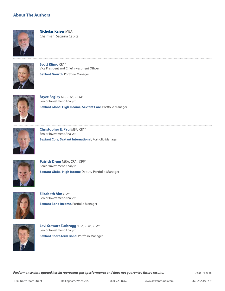#### **About The Authors**



**Nicholas Kaiser** MBA Chairman, Saturna Capital



**Scott Klimo** CFA® Vice President and Chief Investment Officer **Sextant Growth**, Portfolio Manager



**Bryce Fegley** MS, CFA®, CIPM® Senior Investment Analyst **Sextant Global High Income, Sextant Core**, Portfolio Manager



**Christopher E. Paul** MBA, CFA® Senior Investment Analyst

**Sextant Core, Sextant International**, Portfolio Manager



Patrick Drum MBA, CFA®, CFP® Senior Investment Analyst **Sextant Global High Income** Deputy Portfolio Manager



**Elizabeth Alm** CFA® Senior Investment Analyst **Sextant Bond Income**, Portfolio Manager



**Levi Stewart Zurbrugg** MBA, CFA®, CPA® Senior Investment Analyst

**Sextant Short-Term Bond**, Portfolio Manager

**Performance data quoted herein represents past performance and does not guarantee future results. Page 15 of 16**